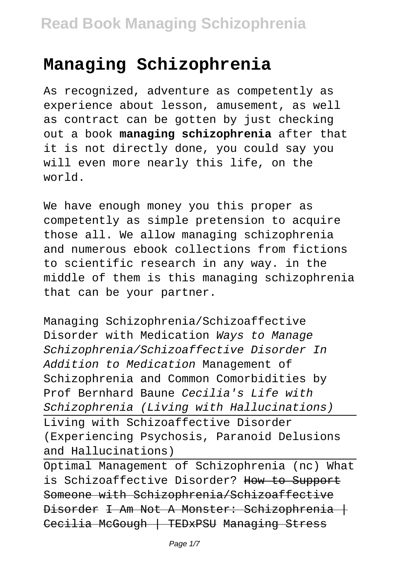## **Managing Schizophrenia**

As recognized, adventure as competently as experience about lesson, amusement, as well as contract can be gotten by just checking out a book **managing schizophrenia** after that it is not directly done, you could say you will even more nearly this life, on the world.

We have enough money you this proper as competently as simple pretension to acquire those all. We allow managing schizophrenia and numerous ebook collections from fictions to scientific research in any way. in the middle of them is this managing schizophrenia that can be your partner.

Managing Schizophrenia/Schizoaffective Disorder with Medication Ways to Manage Schizophrenia/Schizoaffective Disorder In Addition to Medication Management of Schizophrenia and Common Comorbidities by Prof Bernhard Baune Cecilia's Life with Schizophrenia (Living with Hallucinations) Living with Schizoaffective Disorder (Experiencing Psychosis, Paranoid Delusions and Hallucinations)

Optimal Management of Schizophrenia (nc) What is Schizoaffective Disorder? How to Support Someone with Schizophrenia/Schizoaffective Disorder I Am Not A Monster: Schizophrenia | Cecilia McGough | TEDxPSU Managing Stress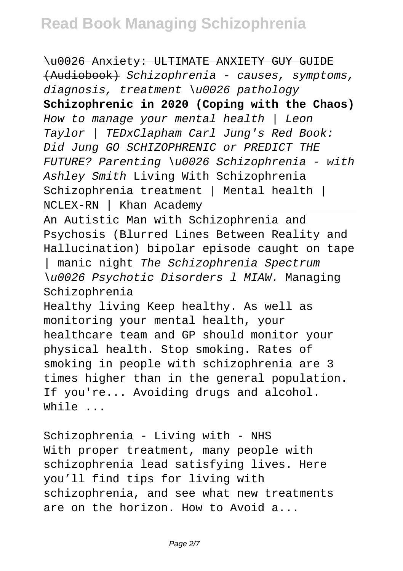\u0026 Anxiety: ULTIMATE ANXIETY GUY GUIDE (Audiobook) Schizophrenia - causes, symptoms, diagnosis, treatment \u0026 pathology **Schizophrenic in 2020 (Coping with the Chaos)** How to manage your mental health | Leon Taylor | TEDxClapham Carl Jung's Red Book: Did Jung GO SCHIZOPHRENIC or PREDICT THE FUTURE? Parenting \u0026 Schizophrenia - with Ashley Smith Living With Schizophrenia Schizophrenia treatment | Mental health | NCLEX-RN | Khan Academy

An Autistic Man with Schizophrenia and Psychosis (Blurred Lines Between Reality and Hallucination) bipolar episode caught on tape | manic night The Schizophrenia Spectrum \u0026 Psychotic Disorders l MIAW. Managing Schizophrenia Healthy living Keep healthy. As well as monitoring your mental health, your healthcare team and GP should monitor your physical health. Stop smoking. Rates of smoking in people with schizophrenia are 3

times higher than in the general population. If you're... Avoiding drugs and alcohol. While ...

Schizophrenia - Living with - NHS With proper treatment, many people with schizophrenia lead satisfying lives. Here you'll find tips for living with schizophrenia, and see what new treatments are on the horizon. How to Avoid a...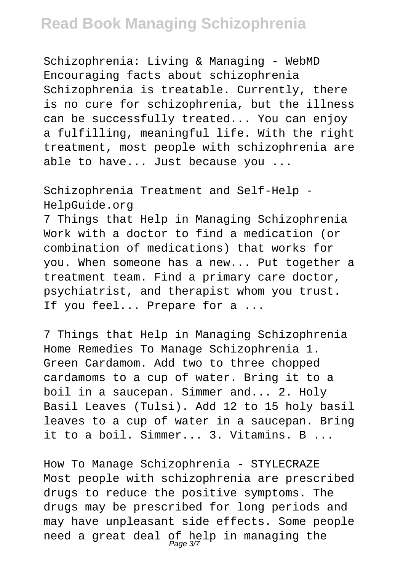## **Read Book Managing Schizophrenia**

Schizophrenia: Living & Managing - WebMD Encouraging facts about schizophrenia Schizophrenia is treatable. Currently, there is no cure for schizophrenia, but the illness can be successfully treated... You can enjoy a fulfilling, meaningful life. With the right treatment, most people with schizophrenia are able to have... Just because you ...

Schizophrenia Treatment and Self-Help - HelpGuide.org

7 Things that Help in Managing Schizophrenia Work with a doctor to find a medication (or combination of medications) that works for you. When someone has a new... Put together a treatment team. Find a primary care doctor, psychiatrist, and therapist whom you trust. If you feel... Prepare for a ...

7 Things that Help in Managing Schizophrenia Home Remedies To Manage Schizophrenia 1. Green Cardamom. Add two to three chopped cardamoms to a cup of water. Bring it to a boil in a saucepan. Simmer and... 2. Holy Basil Leaves (Tulsi). Add 12 to 15 holy basil leaves to a cup of water in a saucepan. Bring it to a boil. Simmer... 3. Vitamins. B ...

How To Manage Schizophrenia - STYLECRAZE Most people with schizophrenia are prescribed drugs to reduce the positive symptoms. The drugs may be prescribed for long periods and may have unpleasant side effects. Some people need a great deal of help in managing the<br>Page 37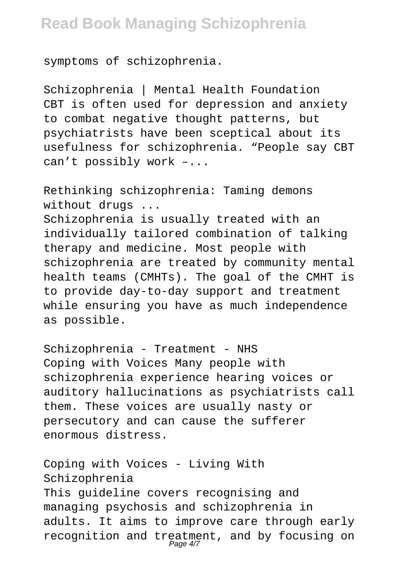symptoms of schizophrenia.

Schizophrenia | Mental Health Foundation CBT is often used for depression and anxiety to combat negative thought patterns, but psychiatrists have been sceptical about its usefulness for schizophrenia. "People say CBT can't possibly work –...

Rethinking schizophrenia: Taming demons without drugs ... Schizophrenia is usually treated with an individually tailored combination of talking therapy and medicine. Most people with schizophrenia are treated by community mental health teams (CMHTs). The goal of the CMHT is to provide day-to-day support and treatment while ensuring you have as much independence as possible.

Schizophrenia - Treatment - NHS Coping with Voices Many people with schizophrenia experience hearing voices or auditory hallucinations as psychiatrists call them. These voices are usually nasty or persecutory and can cause the sufferer enormous distress.

Coping with Voices - Living With Schizophrenia This guideline covers recognising and managing psychosis and schizophrenia in adults. It aims to improve care through early recognition and treatment, and by focusing on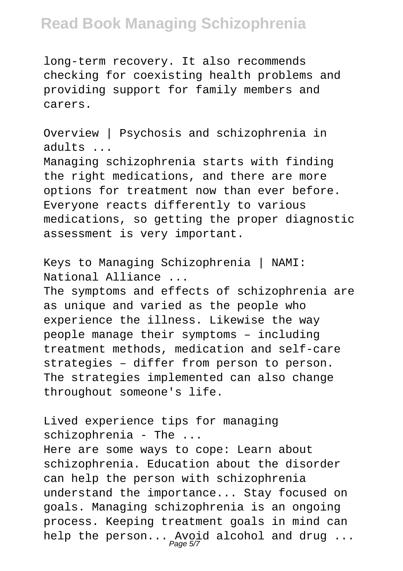## **Read Book Managing Schizophrenia**

long-term recovery. It also recommends checking for coexisting health problems and providing support for family members and carers.

Overview | Psychosis and schizophrenia in adults ...

Managing schizophrenia starts with finding the right medications, and there are more options for treatment now than ever before. Everyone reacts differently to various medications, so getting the proper diagnostic assessment is very important.

Keys to Managing Schizophrenia | NAMI: National Alliance ... The symptoms and effects of schizophrenia are as unique and varied as the people who experience the illness. Likewise the way people manage their symptoms – including treatment methods, medication and self-care strategies – differ from person to person. The strategies implemented can also change throughout someone's life.

Lived experience tips for managing schizophrenia - The ... Here are some ways to cope: Learn about schizophrenia. Education about the disorder can help the person with schizophrenia understand the importance... Stay focused on goals. Managing schizophrenia is an ongoing process. Keeping treatment goals in mind can help the person... Avoid alcohol and drug ...<br>Page 57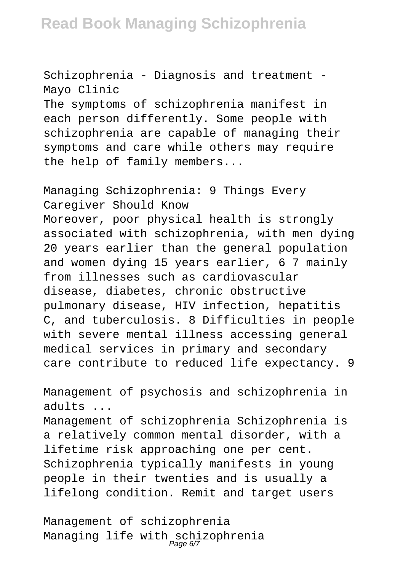Schizophrenia - Diagnosis and treatment - Mayo Clinic

The symptoms of schizophrenia manifest in each person differently. Some people with schizophrenia are capable of managing their symptoms and care while others may require the help of family members...

Managing Schizophrenia: 9 Things Every Caregiver Should Know Moreover, poor physical health is strongly associated with schizophrenia, with men dying 20 years earlier than the general population and women dying 15 years earlier, 6 7 mainly from illnesses such as cardiovascular disease, diabetes, chronic obstructive pulmonary disease, HIV infection, hepatitis C, and tuberculosis. 8 Difficulties in people with severe mental illness accessing general medical services in primary and secondary care contribute to reduced life expectancy. 9

Management of psychosis and schizophrenia in adults ...

Management of schizophrenia Schizophrenia is a relatively common mental disorder, with a lifetime risk approaching one per cent. Schizophrenia typically manifests in young people in their twenties and is usually a lifelong condition. Remit and target users

Management of schizophrenia Managing life with schizophrenia<br>Page 67